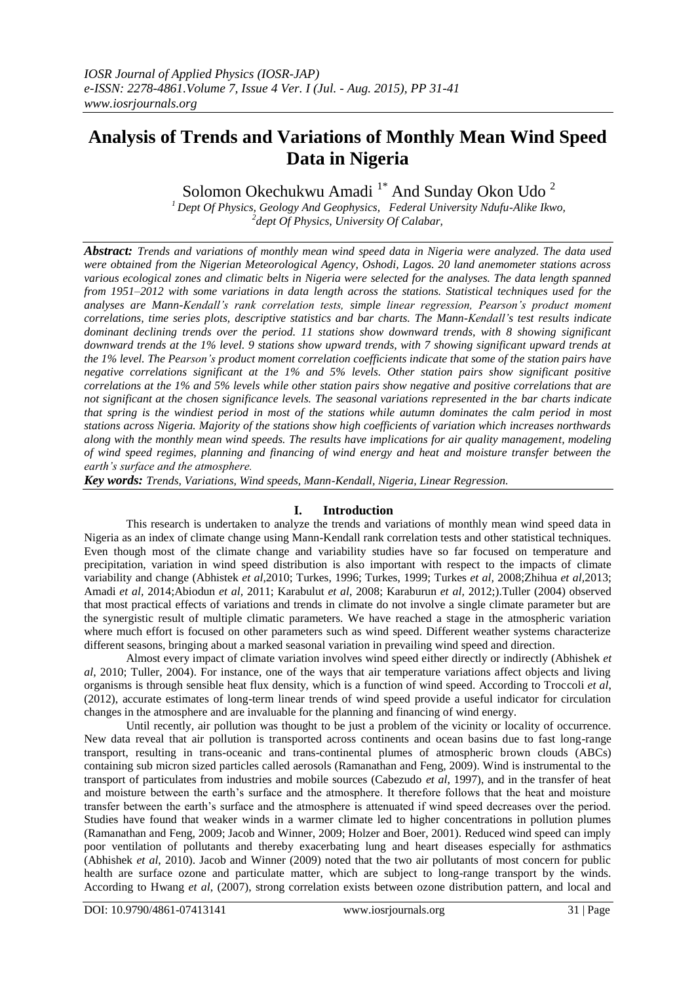# **Analysis of Trends and Variations of Monthly Mean Wind Speed Data in Nigeria**

Solomon Okechukwu Amadi<sup>1\*</sup> And Sunday Okon Udo<sup>2</sup>

*<sup>1</sup>Dept Of Physics, Geology And Geophysics, Federal University Ndufu-Alike Ikwo, 2 dept Of Physics, University Of Calabar,*

*Abstract: Trends and variations of monthly mean wind speed data in Nigeria were analyzed. The data used were obtained from the Nigerian Meteorological Agency, Oshodi, Lagos. 20 land anemometer stations across various ecological zones and climatic belts in Nigeria were selected for the analyses. The data length spanned from 1951–2012 with some variations in data length across the stations. Statistical techniques used for the analyses are Mann-Kendall's rank correlation tests, simple linear regression, Pearson's product moment correlations, time series plots, descriptive statistics and bar charts. The Mann-Kendall's test results indicate dominant declining trends over the period. 11 stations show downward trends, with 8 showing significant downward trends at the 1% level. 9 stations show upward trends, with 7 showing significant upward trends at the 1% level. The Pearson's product moment correlation coefficients indicate that some of the station pairs have negative correlations significant at the 1% and 5% levels. Other station pairs show significant positive correlations at the 1% and 5% levels while other station pairs show negative and positive correlations that are not significant at the chosen significance levels. The seasonal variations represented in the bar charts indicate that spring is the windiest period in most of the stations while autumn dominates the calm period in most stations across Nigeria. Majority of the stations show high coefficients of variation which increases northwards along with the monthly mean wind speeds. The results have implications for air quality management, modeling of wind speed regimes, planning and financing of wind energy and heat and moisture transfer between the earth's surface and the atmosphere.* 

*Key words: Trends, Variations, Wind speeds, Mann-Kendall, Nigeria, Linear Regression.* 

# **I. Introduction**

This research is undertaken to analyze the trends and variations of monthly mean wind speed data in Nigeria as an index of climate change using Mann-Kendall rank correlation tests and other statistical techniques. Even though most of the climate change and variability studies have so far focused on temperature and precipitation, variation in wind speed distribution is also important with respect to the impacts of climate variability and change (Abhistek *et al*,2010; Turkes, 1996; Turkes, 1999; Turkes *et al,* 2008;Zhihua *et al,*2013; Amadi *et al,* 2014;Abiodun *et al,* 2011; Karabulut *et al*, 2008; Karaburun *et al,* 2012;).Tuller (2004) observed that most practical effects of variations and trends in climate do not involve a single climate parameter but are the synergistic result of multiple climatic parameters. We have reached a stage in the atmospheric variation where much effort is focused on other parameters such as wind speed. Different weather systems characterize different seasons, bringing about a marked seasonal variation in prevailing wind speed and direction.

Almost every impact of climate variation involves wind speed either directly or indirectly (Abhishek *et al*, 2010; Tuller, 2004). For instance, one of the ways that air temperature variations affect objects and living organisms is through sensible heat flux density, which is a function of wind speed. According to Troccoli *et al*, (2012), accurate estimates of long-term linear trends of wind speed provide a useful indicator for circulation changes in the atmosphere and are invaluable for the planning and financing of wind energy.

Until recently, air pollution was thought to be just a problem of the vicinity or locality of occurrence. New data reveal that air pollution is transported across continents and ocean basins due to fast long-range transport, resulting in trans-oceanic and trans-continental plumes of atmospheric brown clouds (ABCs) containing sub micron sized particles called aerosols (Ramanathan and Feng, 2009). Wind is instrumental to the transport of particulates from industries and mobile sources (Cabezudo *et al*, 1997), and in the transfer of heat and moisture between the earth's surface and the atmosphere. It therefore follows that the heat and moisture transfer between the earth's surface and the atmosphere is attenuated if wind speed decreases over the period. Studies have found that weaker winds in a warmer climate led to higher concentrations in pollution plumes (Ramanathan and Feng, 2009; Jacob and Winner, 2009; Holzer and Boer, 2001). Reduced wind speed can imply poor ventilation of pollutants and thereby exacerbating lung and heart diseases especially for asthmatics (Abhishek *et al*, 2010). Jacob and Winner (2009) noted that the two air pollutants of most concern for public health are surface ozone and particulate matter, which are subject to long-range transport by the winds. According to Hwang *et al*, (2007), strong correlation exists between ozone distribution pattern, and local and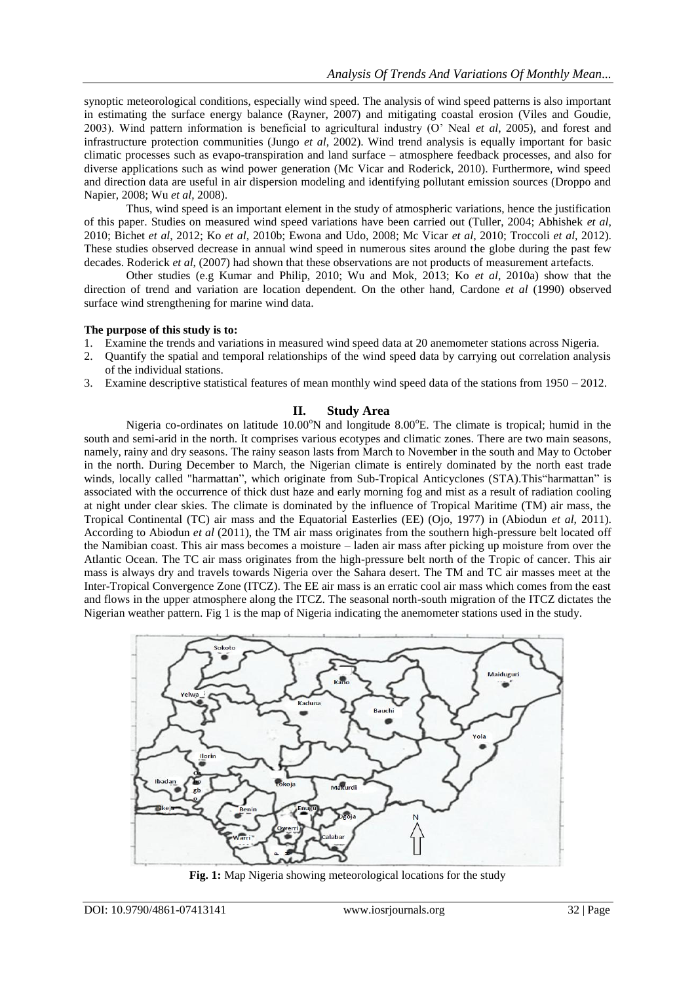synoptic meteorological conditions, especially wind speed. The analysis of wind speed patterns is also important in estimating the surface energy balance (Rayner, 2007) and mitigating coastal erosion (Viles and Goudie, 2003). Wind pattern information is beneficial to agricultural industry (O' Neal *et al*, 2005), and forest and infrastructure protection communities (Jungo *et al*, 2002). Wind trend analysis is equally important for basic climatic processes such as evapo-transpiration and land surface – atmosphere feedback processes, and also for diverse applications such as wind power generation (Mc Vicar and Roderick, 2010). Furthermore, wind speed and direction data are useful in air dispersion modeling and identifying pollutant emission sources (Droppo and Napier, 2008; Wu *et al*, 2008).

Thus, wind speed is an important element in the study of atmospheric variations, hence the justification of this paper. Studies on measured wind speed variations have been carried out (Tuller, 2004; Abhishek *et al*, 2010; Bichet *et al*, 2012; Ko *et al*, 2010b; Ewona and Udo, 2008; Mc Vicar *et al*, 2010; Troccoli *et al*, 2012). These studies observed decrease in annual wind speed in numerous sites around the globe during the past few decades. Roderick *et al*, (2007) had shown that these observations are not products of measurement artefacts.

Other studies (e.g Kumar and Philip, 2010; Wu and Mok, 2013; Ko *et al*, 2010a) show that the direction of trend and variation are location dependent. On the other hand, Cardone *et al* (1990) observed surface wind strengthening for marine wind data.

## **The purpose of this study is to:**

- 1. Examine the trends and variations in measured wind speed data at 20 anemometer stations across Nigeria.
- 2. Quantify the spatial and temporal relationships of the wind speed data by carrying out correlation analysis of the individual stations.
- 3. Examine descriptive statistical features of mean monthly wind speed data of the stations from 1950 2012.

# **II. Study Area**

Nigeria co-ordinates on latitude  $10.00^{\circ}$ N and longitude  $8.00^{\circ}$ E. The climate is tropical; humid in the south and semi-arid in the north. It comprises various ecotypes and climatic zones. There are two main seasons, namely, rainy and dry seasons. The rainy season lasts from March to November in the south and May to October in the north. During December to March, the Nigerian climate is entirely dominated by the north east trade winds, locally called "harmattan", which originate from Sub-Tropical Anticyclones (STA).This "harmattan" is associated with the occurrence of thick dust haze and early morning fog and mist as a result of radiation cooling at night under clear skies. The climate is dominated by the influence of Tropical Maritime (TM) air mass, the Tropical Continental (TC) air mass and the Equatorial Easterlies (EE) (Ojo, 1977) in (Abiodun *et al*, 2011). According to Abiodun *et al* (2011), the TM air mass originates from the southern high-pressure belt located off the Namibian coast. This air mass becomes a moisture – laden air mass after picking up moisture from over the Atlantic Ocean. The TC air mass originates from the high-pressure belt north of the Tropic of cancer. This air mass is always dry and travels towards Nigeria over the Sahara desert. The TM and TC air masses meet at the Inter-Tropical Convergence Zone (ITCZ). The EE air mass is an erratic cool air mass which comes from the east and flows in the upper atmosphere along the ITCZ. The seasonal north-south migration of the ITCZ dictates the Nigerian weather pattern. Fig 1 is the map of Nigeria indicating the anemometer stations used in the study.



**Fig. 1:** Map Nigeria showing meteorological locations for the study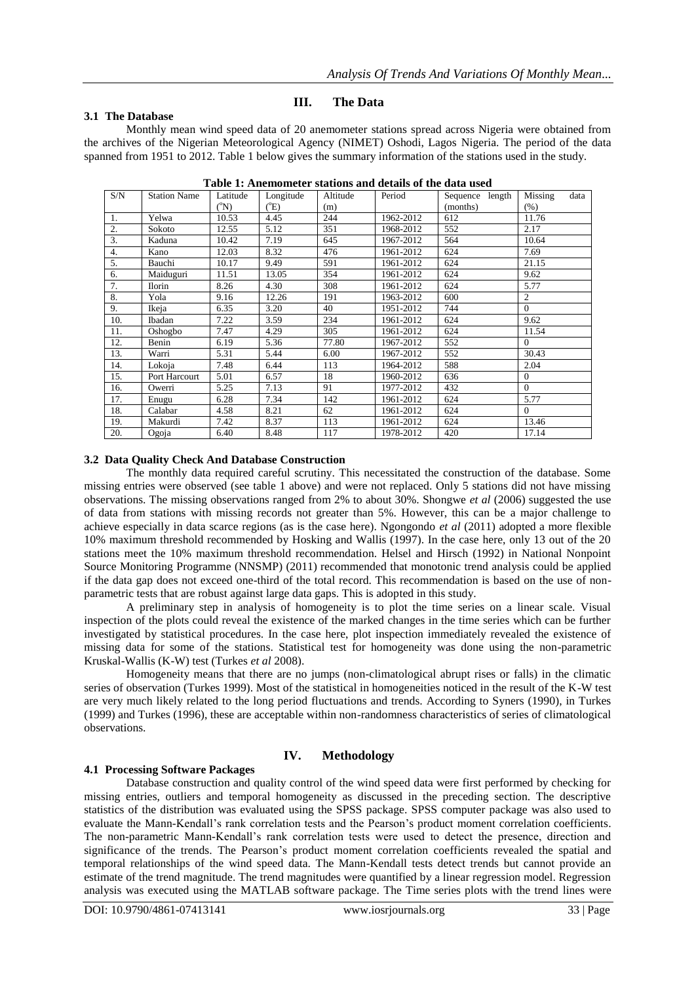# **III. The Data**

## **3.1 The Database**

Monthly mean wind speed data of 20 anemometer stations spread across Nigeria were obtained from the archives of the Nigerian Meteorological Agency (NIMET) Oshodi, Lagos Nigeria. The period of the data spanned from 1951 to 2012. Table 1 below gives the summary information of the stations used in the study.

| S/N              | <b>Station Name</b> | Latitude        | Longitude     | Altitude | Period    | Sequence<br>length | Missing<br>data |  |  |
|------------------|---------------------|-----------------|---------------|----------|-----------|--------------------|-----------------|--|--|
|                  |                     | $({}^{\circ}N)$ | $(^{\circ}E)$ | (m)      |           | (months)           | (% )            |  |  |
| 1.               | Yelwa               | 10.53           | 4.45          | 244      | 1962-2012 | 612                | 11.76           |  |  |
| 2.               | Sokoto              | 12.55           | 5.12          | 351      | 1968-2012 | 552                | 2.17            |  |  |
| 3.               | Kaduna              | 10.42           | 7.19          | 645      | 1967-2012 | 564                | 10.64           |  |  |
| $\overline{4}$ . | Kano                | 12.03           | 8.32          | 476      | 1961-2012 | 624                | 7.69            |  |  |
| 5.               | Bauchi              | 10.17           | 9.49          | 591      | 1961-2012 | 624                | 21.15           |  |  |
| 6.               | Maiduguri           | 11.51           | 13.05         | 354      | 1961-2012 | 624                | 9.62            |  |  |
| 7.               | <b>Ilorin</b>       | 8.26            | 4.30          | 308      | 1961-2012 | 624                | 5.77            |  |  |
| 8.               | Yola                | 9.16            | 12.26         | 191      | 1963-2012 | 600                | $\overline{2}$  |  |  |
| 9.               | Ikeja               | 6.35            | 3.20          | 40       | 1951-2012 | 744                | $\Omega$        |  |  |
| 10.              | Ibadan              | 7.22            | 3.59          | 234      | 1961-2012 | 624                | 9.62            |  |  |
| 11.              | Oshogbo             | 7.47            | 4.29          | 305      | 1961-2012 | 624                | 11.54           |  |  |
| 12.              | Benin               | 5.36<br>6.19    |               | 77.80    | 1967-2012 | 552                | $\Omega$        |  |  |
| 13.              | Warri               | 5.31            | 5.44          | 6.00     | 1967-2012 | 552                | 30.43           |  |  |
| 14.              | Lokoja              | 7.48            | 6.44          | 113      | 1964-2012 | 588                | 2.04            |  |  |
| 15.              | Port Harcourt       | 5.01            | 6.57          | 18       | 1960-2012 | 636                | $\Omega$        |  |  |
| 16.              | Owerri              | 5.25            | 7.13          | 91       | 1977-2012 | 432                | $\Omega$        |  |  |
| 17.              | Enugu               | 6.28            | 7.34          | 142      | 1961-2012 | 624                | 5.77            |  |  |
| 18.              | Calabar             | 4.58            | 8.21          | 62       | 1961-2012 | 624                | $\Omega$        |  |  |
| 19.              | Makurdi             | 7.42            | 8.37          | 113      | 1961-2012 | 624                | 13.46           |  |  |
| 20.              | Ogoja               | 6.40            | 8.48          | 117      | 1978-2012 | 420                | 17.14           |  |  |

**Table 1: Anemometer stations and details of the data used**

## **3.2 Data Quality Check And Database Construction**

The monthly data required careful scrutiny. This necessitated the construction of the database. Some missing entries were observed (see table 1 above) and were not replaced. Only 5 stations did not have missing observations. The missing observations ranged from 2% to about 30%. Shongwe *et al* (2006) suggested the use of data from stations with missing records not greater than 5%. However, this can be a major challenge to achieve especially in data scarce regions (as is the case here). Ngongondo *et al* (2011) adopted a more flexible 10% maximum threshold recommended by Hosking and Wallis (1997). In the case here, only 13 out of the 20 stations meet the 10% maximum threshold recommendation. Helsel and Hirsch (1992) in National Nonpoint Source Monitoring Programme (NNSMP) (2011) recommended that monotonic trend analysis could be applied if the data gap does not exceed one-third of the total record. This recommendation is based on the use of nonparametric tests that are robust against large data gaps. This is adopted in this study.

A preliminary step in analysis of homogeneity is to plot the time series on a linear scale. Visual inspection of the plots could reveal the existence of the marked changes in the time series which can be further investigated by statistical procedures. In the case here, plot inspection immediately revealed the existence of missing data for some of the stations. Statistical test for homogeneity was done using the non-parametric Kruskal-Wallis (K-W) test (Turkes *et al* 2008).

Homogeneity means that there are no jumps (non-climatological abrupt rises or falls) in the climatic series of observation (Turkes 1999). Most of the statistical in homogeneities noticed in the result of the K-W test are very much likely related to the long period fluctuations and trends. According to Syners (1990), in Turkes (1999) and Turkes (1996), these are acceptable within non-randomness characteristics of series of climatological observations.

# **IV. Methodology**

## **4.1 Processing Software Packages**

Database construction and quality control of the wind speed data were first performed by checking for missing entries, outliers and temporal homogeneity as discussed in the preceding section. The descriptive statistics of the distribution was evaluated using the SPSS package. SPSS computer package was also used to evaluate the Mann-Kendall's rank correlation tests and the Pearson's product moment correlation coefficients. The non-parametric Mann-Kendall's rank correlation tests were used to detect the presence, direction and significance of the trends. The Pearson's product moment correlation coefficients revealed the spatial and temporal relationships of the wind speed data. The Mann-Kendall tests detect trends but cannot provide an estimate of the trend magnitude. The trend magnitudes were quantified by a linear regression model. Regression analysis was executed using the MATLAB software package. The Time series plots with the trend lines were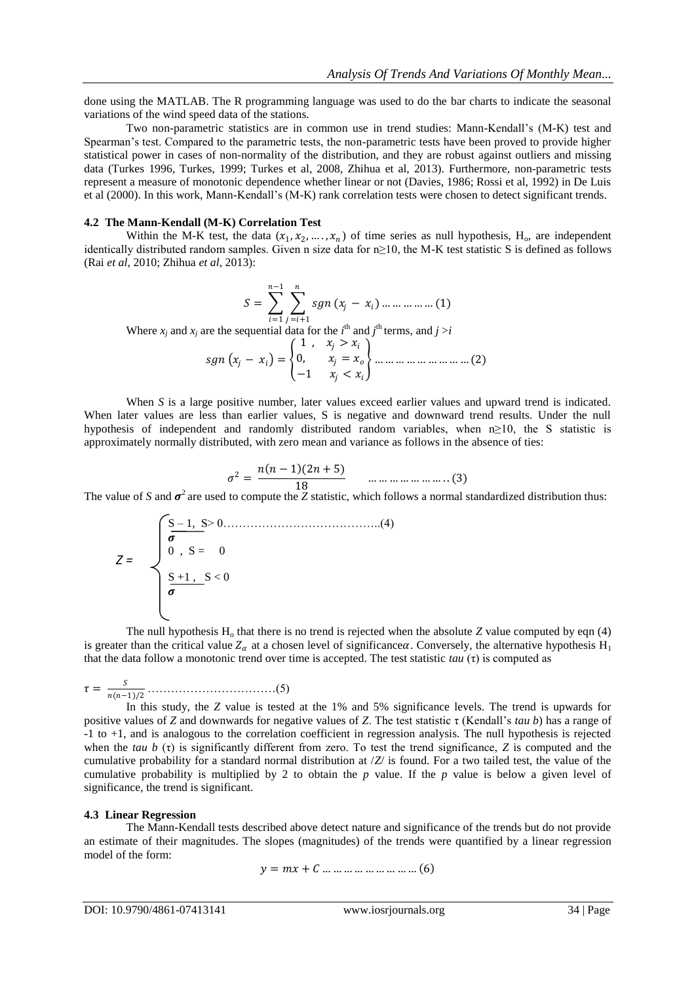done using the MATLAB. The R programming language was used to do the bar charts to indicate the seasonal variations of the wind speed data of the stations.

Two non-parametric statistics are in common use in trend studies: Mann-Kendall's (M-K) test and Spearman's test. Compared to the parametric tests, the non-parametric tests have been proved to provide higher statistical power in cases of non-normality of the distribution, and they are robust against outliers and missing data (Turkes 1996, Turkes, 1999; Turkes et al, 2008, Zhihua et al, 2013). Furthermore, non-parametric tests represent a measure of monotonic dependence whether linear or not (Davies, 1986; Rossi et al, 1992) in De Luis et al (2000). In this work, Mann-Kendall's (M-K) rank correlation tests were chosen to detect significant trends.

#### **4.2 The Mann-Kendall (M-K) Correlation Test**

Within the M-K test, the data  $(x_1, x_2, ..., x_n)$  of time series as null hypothesis, H<sub>0</sub>, are independent identically distributed random samples. Given n size data for n≥10, the M-K test statistic S is defined as follows (Rai *et al*, 2010; Zhihua *et al*, 2013):

$$
S = \sum_{i=1}^{n-1} \sum_{j=i+1}^{n} sgn (x_j - x_i) \dots \dots \dots \dots (1)
$$

Where  $x_j$  and  $x_j$  are the sequential data for the  $i^{\text{th}}$  and  $j^{\text{th}}$  terms, and  $j > i$ 

$$
sgn(x_j - x_i) = \begin{cases} 1, & x_j > x_i \\ 0, & x_j = x_o \\ -1 & x_j < x_i \end{cases} \dots \dots \dots \dots \dots \dots \dots \dots \dots \dots (2)
$$

When *S* is a large positive number, later values exceed earlier values and upward trend is indicated. When later values are less than earlier values, S is negative and downward trend results. Under the null hypothesis of independent and randomly distributed random variables, when n≥10, the S statistic is approximately normally distributed, with zero mean and variance as follows in the absence of ties:

$$
\sigma^2 = \frac{n(n-1)(2n+5)}{18} \qquad \dots \dots \dots \dots \dots \dots \dots (3)
$$

The value of *S* and  $\sigma^2$  are used to compute the *Z* statistic, which follows a normal standardized distribution thus:

$$
Z = \begin{cases} \frac{S-1, S>0. \dots (4)}{\sigma} \\ 0, S = 0 \\ \frac{S+1, S<0}{\sigma} \end{cases}
$$

The null hypothesis  $H_0$  that there is no trend is rejected when the absolute  $Z$  value computed by eqn (4) is greater than the critical value  $Z_{\alpha}$  at a chosen level of significance  $\alpha$ . Conversely, the alternative hypothesis  $H_1$ that the data follow a monotonic trend over time is accepted. The test statistic *tau* (τ) is computed as

 = (−1)/2 ……………………………(5)

In this study, the *Z* value is tested at the 1% and 5% significance levels. The trend is upwards for positive values of *Z* and downwards for negative values of *Z*. The test statistic τ (Kendall's *tau b*) has a range of -1 to +1, and is analogous to the correlation coefficient in regression analysis. The null hypothesis is rejected when the *tau b* (τ) is significantly different from zero. To test the trend significance, *Z* is computed and the cumulative probability for a standard normal distribution at /*Z*/ is found. For a two tailed test, the value of the cumulative probability is multiplied by 2 to obtain the *p* value. If the *p* value is below a given level of significance, the trend is significant.

#### **4.3 Linear Regression**

The Mann-Kendall tests described above detect nature and significance of the trends but do not provide an estimate of their magnitudes. The slopes (magnitudes) of the trends were quantified by a linear regression model of the form:

 $y = mx + C$  … … … … … … … … … (6)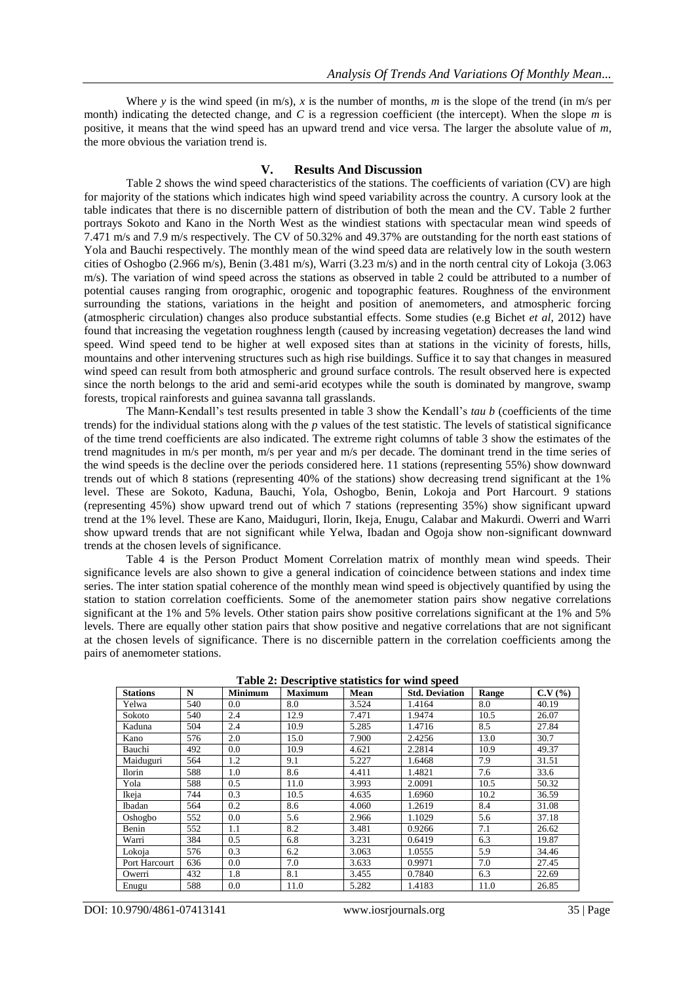Where *y* is the wind speed (in m/s), *x* is the number of months, *m* is the slope of the trend (in m/s per month) indicating the detected change, and *C* is a regression coefficient (the intercept). When the slope *m* is positive, it means that the wind speed has an upward trend and vice versa. The larger the absolute value of *m*, the more obvious the variation trend is.

### **V. Results And Discussion**

Table 2 shows the wind speed characteristics of the stations. The coefficients of variation (CV) are high for majority of the stations which indicates high wind speed variability across the country. A cursory look at the table indicates that there is no discernible pattern of distribution of both the mean and the CV. Table 2 further portrays Sokoto and Kano in the North West as the windiest stations with spectacular mean wind speeds of 7.471 m/s and 7.9 m/s respectively. The CV of 50.32% and 49.37% are outstanding for the north east stations of Yola and Bauchi respectively. The monthly mean of the wind speed data are relatively low in the south western cities of Oshogbo (2.966 m/s), Benin (3.481 m/s), Warri (3.23 m/s) and in the north central city of Lokoja (3.063 m/s). The variation of wind speed across the stations as observed in table 2 could be attributed to a number of potential causes ranging from orographic, orogenic and topographic features. Roughness of the environment surrounding the stations, variations in the height and position of anemometers, and atmospheric forcing (atmospheric circulation) changes also produce substantial effects. Some studies (e.g Bichet *et al*, 2012) have found that increasing the vegetation roughness length (caused by increasing vegetation) decreases the land wind speed. Wind speed tend to be higher at well exposed sites than at stations in the vicinity of forests, hills, mountains and other intervening structures such as high rise buildings. Suffice it to say that changes in measured wind speed can result from both atmospheric and ground surface controls. The result observed here is expected since the north belongs to the arid and semi-arid ecotypes while the south is dominated by mangrove, swamp forests, tropical rainforests and guinea savanna tall grasslands.

The Mann-Kendall's test results presented in table 3 show the Kendall's *tau b* (coefficients of the time trends) for the individual stations along with the *p* values of the test statistic. The levels of statistical significance of the time trend coefficients are also indicated. The extreme right columns of table 3 show the estimates of the trend magnitudes in m/s per month, m/s per year and m/s per decade. The dominant trend in the time series of the wind speeds is the decline over the periods considered here. 11 stations (representing 55%) show downward trends out of which 8 stations (representing 40% of the stations) show decreasing trend significant at the 1% level. These are Sokoto, Kaduna, Bauchi, Yola, Oshogbo, Benin, Lokoja and Port Harcourt. 9 stations (representing 45%) show upward trend out of which 7 stations (representing 35%) show significant upward trend at the 1% level. These are Kano, Maiduguri, Ilorin, Ikeja, Enugu, Calabar and Makurdi. Owerri and Warri show upward trends that are not significant while Yelwa, Ibadan and Ogoja show non-significant downward trends at the chosen levels of significance.

Table 4 is the Person Product Moment Correlation matrix of monthly mean wind speeds. Their significance levels are also shown to give a general indication of coincidence between stations and index time series. The inter station spatial coherence of the monthly mean wind speed is objectively quantified by using the station to station correlation coefficients. Some of the anemometer station pairs show negative correlations significant at the 1% and 5% levels. Other station pairs show positive correlations significant at the 1% and 5% levels. There are equally other station pairs that show positive and negative correlations that are not significant at the chosen levels of significance. There is no discernible pattern in the correlation coefficients among the pairs of anemometer stations.

| <b>Stations</b> | N   | <b>Minimum</b> | <b>Maximum</b> | Mean  | <b>Std. Deviation</b> | Range | C.V(%) |
|-----------------|-----|----------------|----------------|-------|-----------------------|-------|--------|
| Yelwa           | 540 | 0.0            | 8.0            | 3.524 | 1.4164                | 8.0   | 40.19  |
| Sokoto          | 540 | 2.4            | 12.9           | 7.471 | 1.9474                | 10.5  | 26.07  |
| Kaduna          | 504 | 2.4            | 10.9           | 5.285 | 1.4716                | 8.5   | 27.84  |
| Kano            | 576 | 2.0            | 15.0           | 7.900 | 2.4256                | 13.0  | 30.7   |
| Bauchi          | 492 | 0.0            | 10.9           | 4.621 | 2.2814                | 10.9  | 49.37  |
| Maiduguri       | 564 | 1.2            | 9.1            | 5.227 | 1.6468                | 7.9   | 31.51  |
| <b>Ilorin</b>   | 588 | 1.0            | 8.6            | 4.411 | 1.4821                | 7.6   | 33.6   |
| Yola            | 588 | 0.5            | 11.0           | 3.993 | 2.0091                | 10.5  | 50.32  |
| Ikeja           | 744 | 0.3            | 10.5           | 4.635 | 1.6960                | 10.2  | 36.59  |
| Ibadan          | 564 | 0.2            | 8.6            | 4.060 | 1.2619                | 8.4   | 31.08  |
| Oshogbo         | 552 | 0.0            | 5.6            | 2.966 | 1.1029                | 5.6   | 37.18  |
| Benin           | 552 | 1.1            | 8.2            | 3.481 | 0.9266                | 7.1   | 26.62  |
| Warri           | 384 | 0.5            | 6.8            | 3.231 | 0.6419                | 6.3   | 19.87  |
| Lokoja          | 576 | 0.3            | 6.2            | 3.063 | 1.0555                | 5.9   | 34.46  |
| Port Harcourt   | 636 | 0.0            | 7.0            | 3.633 | 0.9971                | 7.0   | 27.45  |
| Owerri          | 432 | 1.8            | 8.1            | 3.455 | 0.7840                | 6.3   | 22.69  |
| Enugu           | 588 | 0.0            | 11.0           | 5.282 | 1.4183                | 11.0  | 26.85  |

**Table 2: Descriptive statistics for wind speed**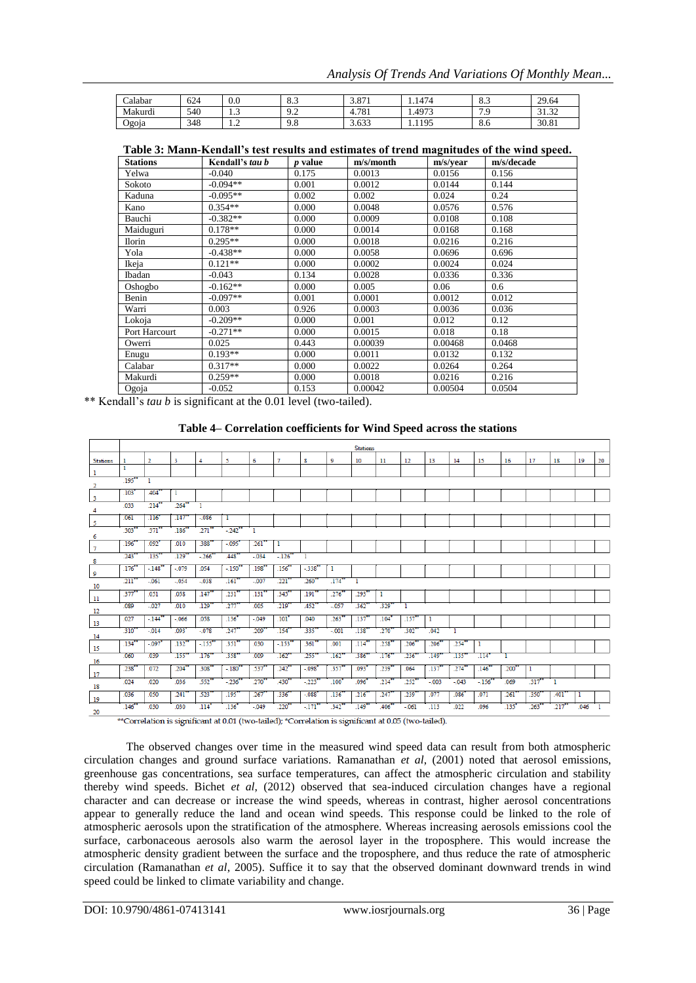| Calabar | 624 | 0.0     | $\Omega$ $\sim$<br>0.J  | 2071<br>J.O / 1 | . . 1474                   | <u>ດ -</u><br>د.ه | 29.64                       |
|---------|-----|---------|-------------------------|-----------------|----------------------------|-------------------|-----------------------------|
| Makurdi | 540 | ر. .    | $\cdot$ 0 $\sim$<br>ے . | 4.781           | 497 <sup>2</sup><br>1.4713 | 70<br>.           | $\sim$<br>$\sim$<br>ے دندان |
| Ogoja   | 348 | $\cdot$ | u<br>9.O                | 3.633           | 1.1195                     | 8.0               | 30.81                       |

| Table 3: Mann-Kendall's test results and estimates of trend magnitudes of the wind speed. |  |
|-------------------------------------------------------------------------------------------|--|
|-------------------------------------------------------------------------------------------|--|

| <b>Stations</b> | Kendall's <i>tau b</i> | <i>p</i> value | m/s/month | m/s/year | m/s/decade |
|-----------------|------------------------|----------------|-----------|----------|------------|
| Yelwa           | $-0.040$               | 0.175          | 0.0013    | 0.0156   | 0.156      |
| Sokoto          | $-0.094**$             | 0.001          | 0.0012    | 0.0144   | 0.144      |
| Kaduna          | $-0.095**$             | 0.002          | 0.002     | 0.024    | 0.24       |
| Kano            | $0.354**$              | 0.000          | 0.0048    | 0.0576   | 0.576      |
| Bauchi          | $-0.382**$             | 0.000          | 0.0009    | 0.0108   | 0.108      |
| Maiduguri       | $0.178**$              | 0.000          | 0.0014    | 0.0168   | 0.168      |
| <b>Ilorin</b>   | $0.295**$              | 0.000          | 0.0018    | 0.0216   | 0.216      |
| Yola            | $-0.438**$             | 0.000          | 0.0058    | 0.0696   | 0.696      |
| Ikeja           | $0.121**$              | 0.000          | 0.0002    | 0.0024   | 0.024      |
| Ibadan          | $-0.043$               | 0.134          | 0.0028    | 0.0336   | 0.336      |
| Oshogbo         | $-0.162**$             | 0.000          | 0.005     | 0.06     | 0.6        |
| Benin           | $-0.097**$             | 0.001          | 0.0001    | 0.0012   | 0.012      |
| Warri           | 0.003                  | 0.926          | 0.0003    | 0.0036   | 0.036      |
| Lokoja          | $-0.209**$             | 0.000          | 0.001     | 0.012    | 0.12       |
| Port Harcourt   | $-0.271**$             | 0.000          | 0.0015    | 0.018    | 0.18       |
| Owerri          | 0.025                  | 0.443          | 0.00039   | 0.00468  | 0.0468     |
| Enugu           | $0.193**$              | 0.000          | 0.0011    | 0.0132   | 0.132      |
| Calabar         | $0.317**$              | 0.000          | 0.0022    | 0.0264   | 0.264      |
| Makurdi         | $0.259**$              | 0.000          | 0.0018    | 0.0216   | 0.216      |
| Ogoja           | $-0.052$               | 0.153          | 0.00042   | 0.00504  | 0.0504     |

\*\* Kendall's *tau b* is significant at the 0.01 level (two-tailed).

| Table 4– Correlation coefficients for Wind Speed across the stations |  |  |
|----------------------------------------------------------------------|--|--|
|----------------------------------------------------------------------|--|--|

|                 |                     | <b>Stations</b>     |                     |                     |                     |                     |                      |         |                     |                     |                     |                     |         |        |        |                     |                     |            |      |    |
|-----------------|---------------------|---------------------|---------------------|---------------------|---------------------|---------------------|----------------------|---------|---------------------|---------------------|---------------------|---------------------|---------|--------|--------|---------------------|---------------------|------------|------|----|
| <b>Stations</b> |                     | $\overline{2}$      | 3                   | 4                   | 5                   | 6                   | n                    | 8       | 9                   | 10                  | 11                  | 12                  | 13      | 14     | 15     | 16                  | 17                  | 18         | 19   | 20 |
| -1              |                     |                     |                     |                     |                     |                     |                      |         |                     |                     |                     |                     |         |        |        |                     |                     |            |      |    |
| $\overline{2}$  | .195"               |                     |                     |                     |                     |                     |                      |         |                     |                     |                     |                     |         |        |        |                     |                     |            |      |    |
| 3               | .103                | <b>404</b>          | 1                   |                     |                     |                     |                      |         |                     |                     |                     |                     |         |        |        |                     |                     |            |      |    |
| 4               | .033                | .214                | $.264$ <sup>*</sup> | п                   |                     |                     |                      |         |                     |                     |                     |                     |         |        |        |                     |                     |            |      |    |
| 5               | .061                | .116''              | .147                | $-.086$             |                     |                     |                      |         |                     |                     |                     |                     |         |        |        |                     |                     |            |      |    |
| 6               | 303                 | 371                 | .186                | $.271$ <sup>*</sup> | $-242$ <sup>*</sup> | -1                  |                      |         |                     |                     |                     |                     |         |        |        |                     |                     |            |      |    |
| 7               | .196                | $.092$ <sup>*</sup> | .010                | 388                 | $-.095$             | .261                | 1                    |         |                     |                     |                     |                     |         |        |        |                     |                     |            |      |    |
| 8               | .243                | $.135$ <sup>*</sup> | $.129$ <sup>*</sup> | $-.266$             | .448                | $-.034$             | $-.126$              | 1       |                     |                     |                     |                     |         |        |        |                     |                     |            |      |    |
| $\overline{9}$  | .176                | $-.148$             | $-.079$             | .054                | $-.150$             | $.198$ <sup>*</sup> | .156                 | $-338$  | ш                   |                     |                     |                     |         |        |        |                     |                     |            |      |    |
| 10              | .211'               | $-.061$             | $-.054$             | $-.038$             | .161                | $-.007$             | .221'                | .260    | $.174$ <sup>*</sup> | 1                   |                     |                     |         |        |        |                     |                     |            |      |    |
| $_{11}$         | 377                 | .051                | .058                | .147                | .231'               | .131                | .345                 | .191    | .276'               | .293                | 1                   |                     |         |        |        |                     |                     |            |      |    |
| 12              | .089                | $-.027$             | .010                | $.129$ <sup>*</sup> | $.277$ <sup>*</sup> | .005                | $.219$ <sup>*</sup>  | .452    | $-.057$             | 362                 | $.329$ <sup>*</sup> | n                   |         |        |        |                     |                     |            |      |    |
|                 | .027                | $-144$              | $-.066$             | .058                | .136                | $-.049$             | .101'                | .040    | .263                | .137                | $.104$ <sup>*</sup> | .157                | 1       |        |        |                     |                     |            |      |    |
| 13              | 310                 | $-.014$             | $.093$ <sup>*</sup> | $-078$              | .247                | .209                | $.154$ <sup>*</sup>  | .335"   | $-.001$             | 138                 | .270                | 302                 | .042    | 1      |        |                     |                     |            |      |    |
| 14              | $.134$ <sup>*</sup> | $-.097$             | $.132$ <sup>*</sup> | $-155$ <sup>*</sup> | 351'                | .030                | $-153$ <sup>*</sup>  | .361    | .001                | $.114$ <sup>*</sup> | .258                | .206                | .206    | .254   | 1      |                     |                     |            |      |    |
| -15             | .060                | .039                | .155"               | .176                | .358"               | .009                | $.162$ <sup>**</sup> | .255"   | $.162$ <sup>*</sup> | .386                | $.176*$             | .236"               | .149''  | .135"  | .114'  |                     |                     |            |      |    |
| 16              | .238                | .072                | $.204$ <sup>*</sup> | .308                | $-.180$             | .537                | .242                 | $-.098$ | .357                | .093                | $.239$ <sup>*</sup> | .064                | .137    | .274   | .146   | .200'               | п                   |            |      |    |
| -17             | .024                | .020                | .036                | 552                 | $-236$              | 270'                | .430°                | $-223$  | .100                | .096                | 214                 | $.252$ <sup>*</sup> | $-.003$ | $-043$ | $-156$ | .069                | .317                | -1         |      |    |
| 18              | .036                | .050                | .241                | .523                | .195"               | .267                | .336                 | $-.088$ | .136                | .216                | .247                | $.239$ <sup>*</sup> | .077    | .086   | .071   | $.261$ <sup>*</sup> | .350'               | <b>401</b> |      |    |
| 19              | .146                | .030                | .030                | .114                | .136                | $-0.49$             | .220'                | $-171'$ | 342                 | .149                | .406                | $-.061$             | .113    | .022   | .096   | $.135$ <sup>*</sup> | $.263$ <sup>*</sup> | 217        | .046 | ı. |
| 20              |                     |                     |                     |                     |                     |                     |                      |         |                     |                     |                     |                     |         |        |        |                     |                     |            |      |    |

\*\*Correlation is significant at 0.01 (two-tailed); \*Correlation is significant at 0.05 (two-tailed).

The observed changes over time in the measured wind speed data can result from both atmospheric circulation changes and ground surface variations. Ramanathan *et al*, (2001) noted that aerosol emissions, greenhouse gas concentrations, sea surface temperatures, can affect the atmospheric circulation and stability thereby wind speeds. Bichet *et al*, (2012) observed that sea-induced circulation changes have a regional character and can decrease or increase the wind speeds, whereas in contrast, higher aerosol concentrations appear to generally reduce the land and ocean wind speeds. This response could be linked to the role of atmospheric aerosols upon the stratification of the atmosphere. Whereas increasing aerosols emissions cool the surface, carbonaceous aerosols also warm the aerosol layer in the troposphere. This would increase the atmospheric density gradient between the surface and the troposphere, and thus reduce the rate of atmospheric circulation (Ramanathan *et al*, 2005). Suffice it to say that the observed dominant downward trends in wind speed could be linked to climate variability and change.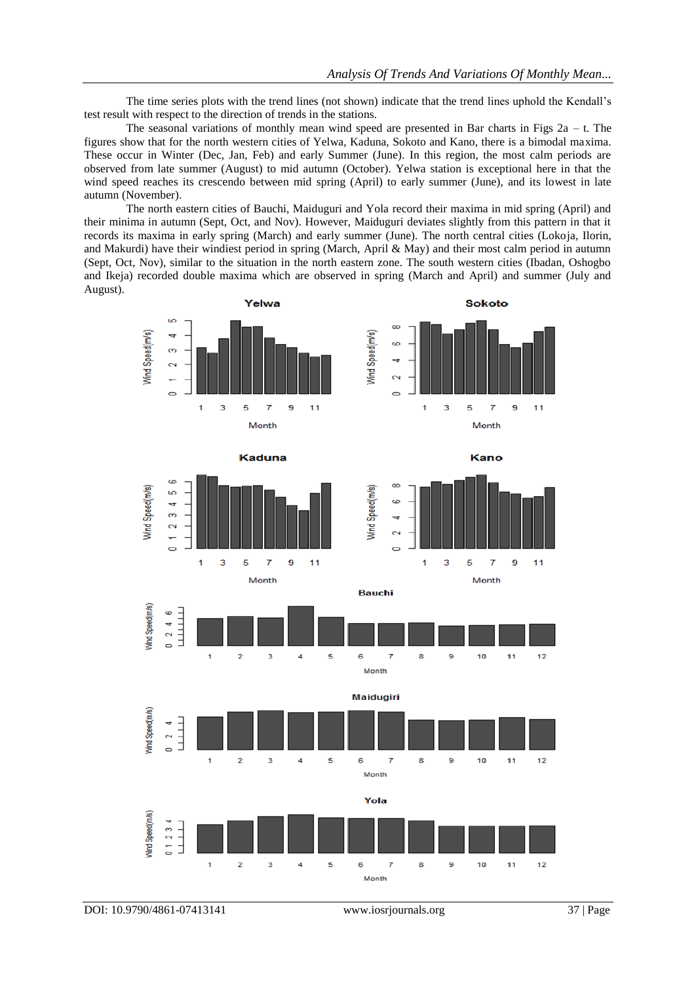The time series plots with the trend lines (not shown) indicate that the trend lines uphold the Kendall's test result with respect to the direction of trends in the stations.

The seasonal variations of monthly mean wind speed are presented in Bar charts in Figs  $2a - t$ . The figures show that for the north western cities of Yelwa, Kaduna, Sokoto and Kano, there is a bimodal maxima. These occur in Winter (Dec, Jan, Feb) and early Summer (June). In this region, the most calm periods are observed from late summer (August) to mid autumn (October). Yelwa station is exceptional here in that the wind speed reaches its crescendo between mid spring (April) to early summer (June), and its lowest in late autumn (November).

The north eastern cities of Bauchi, Maiduguri and Yola record their maxima in mid spring (April) and their minima in autumn (Sept, Oct, and Nov). However, Maiduguri deviates slightly from this pattern in that it records its maxima in early spring (March) and early summer (June). The north central cities (Lokoja, Ilorin, and Makurdi) have their windiest period in spring (March, April & May) and their most calm period in autumn (Sept, Oct, Nov), similar to the situation in the north eastern zone. The south western cities (Ibadan, Oshogbo and Ikeja) recorded double maxima which are observed in spring (March and April) and summer (July and August).





3

5 7 9

Month

1

Ġ.

ю

 $\overline{a}$ თ  $\mathbf{\Omega}$ 

 $\overline{a}$ 

Wind Speed(m/s)







**Bauchi** Mind Speed(m/s)  $\bullet$  $\frac{1}{1}$  $2<sub>4</sub>$  $\overline{1}$  $\overline{2}$  $\overline{3}$ 4 5 6  $\overline{7}$ 8 9  $10$  $11$  $12$ Month

11





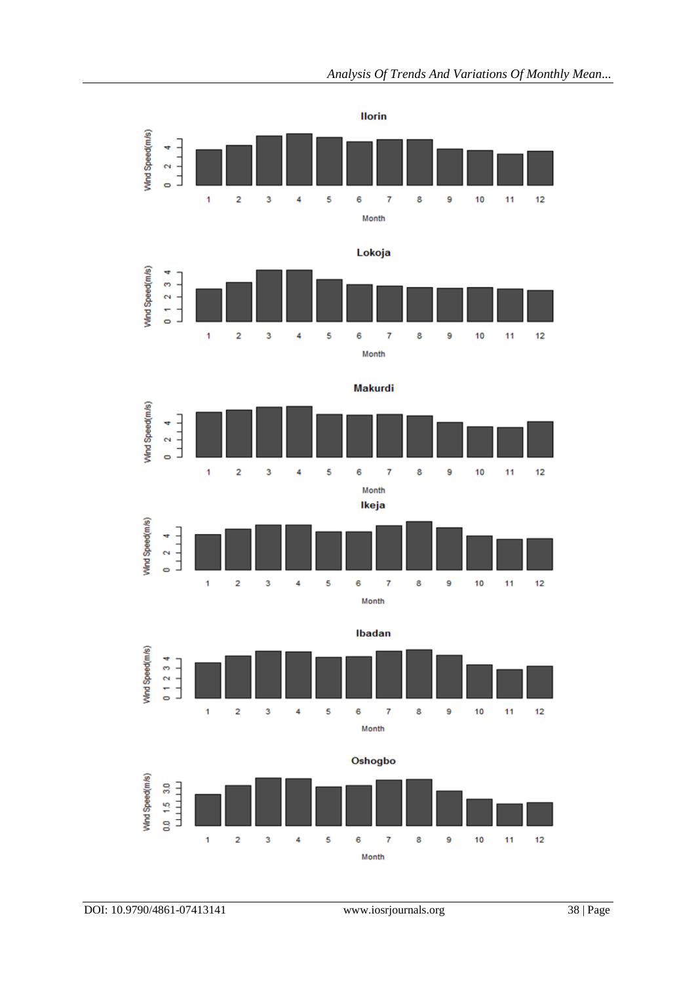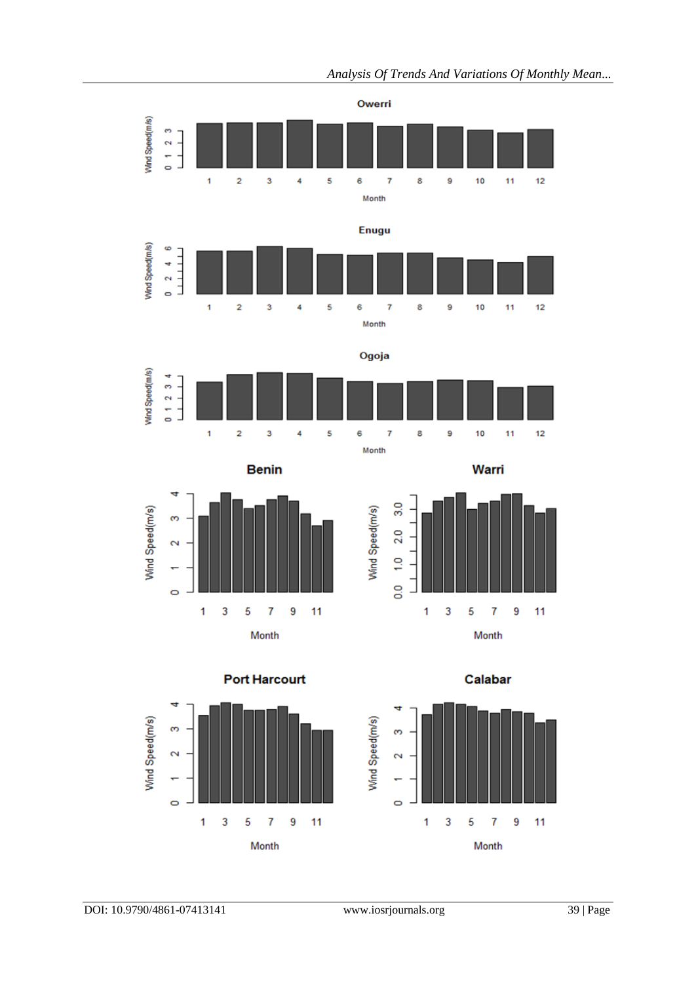





Warri





Calabar

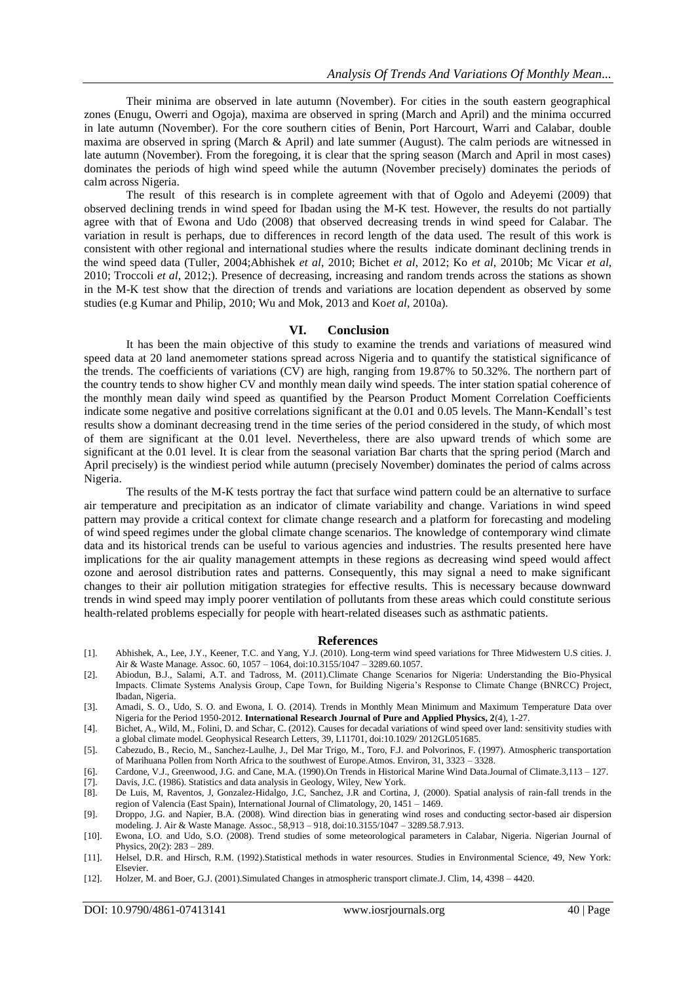Their minima are observed in late autumn (November). For cities in the south eastern geographical zones (Enugu, Owerri and Ogoja), maxima are observed in spring (March and April) and the minima occurred in late autumn (November). For the core southern cities of Benin, Port Harcourt, Warri and Calabar, double maxima are observed in spring (March & April) and late summer (August). The calm periods are witnessed in late autumn (November). From the foregoing, it is clear that the spring season (March and April in most cases) dominates the periods of high wind speed while the autumn (November precisely) dominates the periods of calm across Nigeria.

The result of this research is in complete agreement with that of Ogolo and Adeyemi (2009) that observed declining trends in wind speed for Ibadan using the M-K test. However, the results do not partially agree with that of Ewona and Udo (2008) that observed decreasing trends in wind speed for Calabar. The variation in result is perhaps, due to differences in record length of the data used. The result of this work is consistent with other regional and international studies where the results indicate dominant declining trends in the wind speed data (Tuller, 2004;Abhishek *et al*, 2010; Bichet *et al*, 2012; Ko *et al*, 2010b; Mc Vicar *et al*, 2010; Troccoli *et al*, 2012;). Presence of decreasing, increasing and random trends across the stations as shown in the M-K test show that the direction of trends and variations are location dependent as observed by some studies (e.g Kumar and Philip, 2010; Wu and Mok, 2013 and Ko*et al,* 2010a).

#### **VI. Conclusion**

It has been the main objective of this study to examine the trends and variations of measured wind speed data at 20 land anemometer stations spread across Nigeria and to quantify the statistical significance of the trends. The coefficients of variations (CV) are high, ranging from 19.87% to 50.32%. The northern part of the country tends to show higher CV and monthly mean daily wind speeds. The inter station spatial coherence of the monthly mean daily wind speed as quantified by the Pearson Product Moment Correlation Coefficients indicate some negative and positive correlations significant at the 0.01 and 0.05 levels. The Mann-Kendall's test results show a dominant decreasing trend in the time series of the period considered in the study, of which most of them are significant at the 0.01 level. Nevertheless, there are also upward trends of which some are significant at the 0.01 level. It is clear from the seasonal variation Bar charts that the spring period (March and April precisely) is the windiest period while autumn (precisely November) dominates the period of calms across Nigeria.

The results of the M-K tests portray the fact that surface wind pattern could be an alternative to surface air temperature and precipitation as an indicator of climate variability and change. Variations in wind speed pattern may provide a critical context for climate change research and a platform for forecasting and modeling of wind speed regimes under the global climate change scenarios. The knowledge of contemporary wind climate data and its historical trends can be useful to various agencies and industries. The results presented here have implications for the air quality management attempts in these regions as decreasing wind speed would affect ozone and aerosol distribution rates and patterns. Consequently, this may signal a need to make significant changes to their air pollution mitigation strategies for effective results. This is necessary because downward trends in wind speed may imply poorer ventilation of pollutants from these areas which could constitute serious health-related problems especially for people with heart-related diseases such as asthmatic patients.

#### **References**

- [1]. Abhishek, A., Lee, J.Y., Keener, T.C. and Yang, Y.J. (2010). Long-term wind speed variations for Three Midwestern U.S cities. J. Air & Waste Manage. Assoc. 60, 1057 – 1064, doi:10.3155/1047 – 3289.60.1057.
- [2]. Abiodun, B.J., Salami, A.T. and Tadross, M. (2011).Climate Change Scenarios for Nigeria: Understanding the Bio-Physical Impacts. Climate Systems Analysis Group, Cape Town, for Building Nigeria's Response to Climate Change (BNRCC) Project, Ibadan, Nigeria.
- [3]. Amadi, S. O., Udo, S. O. and Ewona, I. O. (2014). Trends in Monthly Mean Minimum and Maximum Temperature Data over Nigeria for the Period 1950-2012. **International Research Journal of Pure and Applied Physics, 2**(4), 1-27.
- [4]. Bichet, A., Wild, M., Folini, D. and Schar, C. (2012). Causes for decadal variations of wind speed over land: sensitivity studies with a global climate model. Geophysical Research Letters, 39, L11701, doi:10.1029/ 2012GL051685.
- [5]. Cabezudo, B., Recio, M., Sanchez-Laulhe, J., Del Mar Trigo, M., Toro, F.J. and Polvorinos, F. (1997). Atmospheric transportation of Marihuana Pollen from North Africa to the southwest of Europe.Atmos. Environ, 31, 3323 – 3328.
- [6]. Cardone, V.J., Greenwood, J.G. and Cane, M.A. (1990).On Trends in Historical Marine Wind Data.Journal of Climate.3,113 127.
- [7]. Davis, J.C. (1986). Statistics and data analysis in Geology, Wiley, New York.
- [8]. De Luis, M, Raventos, J, Gonzalez-Hidalgo, J.C, Sanchez, J.R and Cortina, J, (2000). Spatial analysis of rain-fall trends in the region of Valencia (East Spain), International Journal of Climatology, 20, 1451 – 1469.
- [9]. Droppo, J.G. and Napier, B.A. (2008). Wind direction bias in generating wind roses and conducting sector-based air dispersion modeling. J. Air & Waste Manage. Assoc., 58,913 – 918, doi:10.3155/1047 – 3289.58.7.913.
- [10]. Ewona, I.O. and Udo, S.O. (2008). Trend studies of some meteorological parameters in Calabar, Nigeria. Nigerian Journal of Physics, 20(2): 283 – 289.
- [11]. Helsel, D.R. and Hirsch, R.M. (1992).Statistical methods in water resources. Studies in Environmental Science, 49, New York: Elsevier.
- [12]. Holzer, M. and Boer, G.J. (2001).Simulated Changes in atmospheric transport climate.J. Clim, 14, 4398 4420.